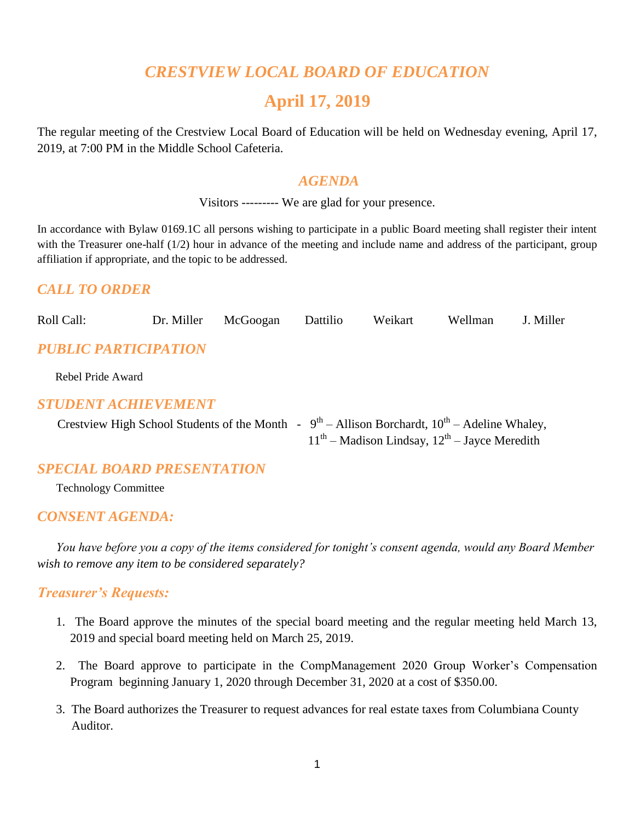## *CRESTVIEW LOCAL BOARD OF EDUCATION*

## **April 17, 2019**

The regular meeting of the Crestview Local Board of Education will be held on Wednesday evening, April 17, 2019, at 7:00 PM in the Middle School Cafeteria.

#### *AGENDA*

Visitors --------- We are glad for your presence.

In accordance with Bylaw 0169.1C all persons wishing to participate in a public Board meeting shall register their intent with the Treasurer one-half (1/2) hour in advance of the meeting and include name and address of the participant, group affiliation if appropriate, and the topic to be addressed.

### *CALL TO ORDER*

Roll Call: Dr. Miller McGoogan Dattilio Weikart Wellman J. Miller *PUBLIC PARTICIPATION*

Rebel Pride Award

#### *STUDENT ACHIEVEMENT*

|  | Crestview High School Students of the Month - $9^{th}$ – Allison Borchardt, $10^{th}$ – Adeline Whaley, |
|--|---------------------------------------------------------------------------------------------------------|
|  | $11th$ – Madison Lindsay, $12th$ – Jayce Meredith                                                       |

#### *SPECIAL BOARD PRESENTATION*

Technology Committee

#### *CONSENT AGENDA:*

 *You have before you a copy of the items considered for tonight's consent agenda, would any Board Member wish to remove any item to be considered separately?*

#### *Treasurer's Requests:*

- 1. The Board approve the minutes of the special board meeting and the regular meeting held March 13, 2019 and special board meeting held on March 25, 2019.
- 2. The Board approve to participate in the CompManagement 2020 Group Worker's Compensation Program beginning January 1, 2020 through December 31, 2020 at a cost of \$350.00.
- 3. The Board authorizes the Treasurer to request advances for real estate taxes from Columbiana County Auditor.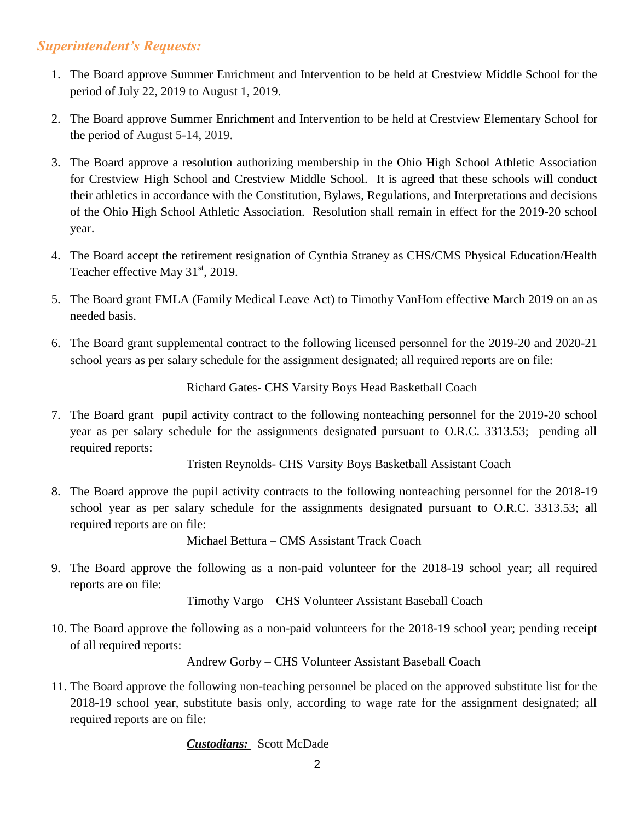### *Superintendent's Requests:*

- 1. The Board approve Summer Enrichment and Intervention to be held at Crestview Middle School for the period of July 22, 2019 to August 1, 2019.
- 2. The Board approve Summer Enrichment and Intervention to be held at Crestview Elementary School for the period of August 5-14, 2019.
- 3. The Board approve a resolution authorizing membership in the Ohio High School Athletic Association for Crestview High School and Crestview Middle School. It is agreed that these schools will conduct their athletics in accordance with the Constitution, Bylaws, Regulations, and Interpretations and decisions of the Ohio High School Athletic Association. Resolution shall remain in effect for the 2019-20 school year.
- 4. The Board accept the retirement resignation of Cynthia Straney as CHS/CMS Physical Education/Health Teacher effective May  $31<sup>st</sup>$ , 2019.
- 5. The Board grant FMLA (Family Medical Leave Act) to Timothy VanHorn effective March 2019 on an as needed basis.
- 6. The Board grant supplemental contract to the following licensed personnel for the 2019-20 and 2020-21 school years as per salary schedule for the assignment designated; all required reports are on file:

Richard Gates- CHS Varsity Boys Head Basketball Coach

7. The Board grant pupil activity contract to the following nonteaching personnel for the 2019-20 school year as per salary schedule for the assignments designated pursuant to O.R.C. 3313.53; pending all required reports:

Tristen Reynolds- CHS Varsity Boys Basketball Assistant Coach

8. The Board approve the pupil activity contracts to the following nonteaching personnel for the 2018-19 school year as per salary schedule for the assignments designated pursuant to O.R.C. 3313.53; all required reports are on file:

Michael Bettura – CMS Assistant Track Coach

9. The Board approve the following as a non-paid volunteer for the 2018-19 school year; all required reports are on file:

Timothy Vargo – CHS Volunteer Assistant Baseball Coach

10. The Board approve the following as a non-paid volunteers for the 2018-19 school year; pending receipt of all required reports:

Andrew Gorby – CHS Volunteer Assistant Baseball Coach

11. The Board approve the following non-teaching personnel be placed on the approved substitute list for the 2018-19 school year, substitute basis only, according to wage rate for the assignment designated; all required reports are on file:

*Custodians:* Scott McDade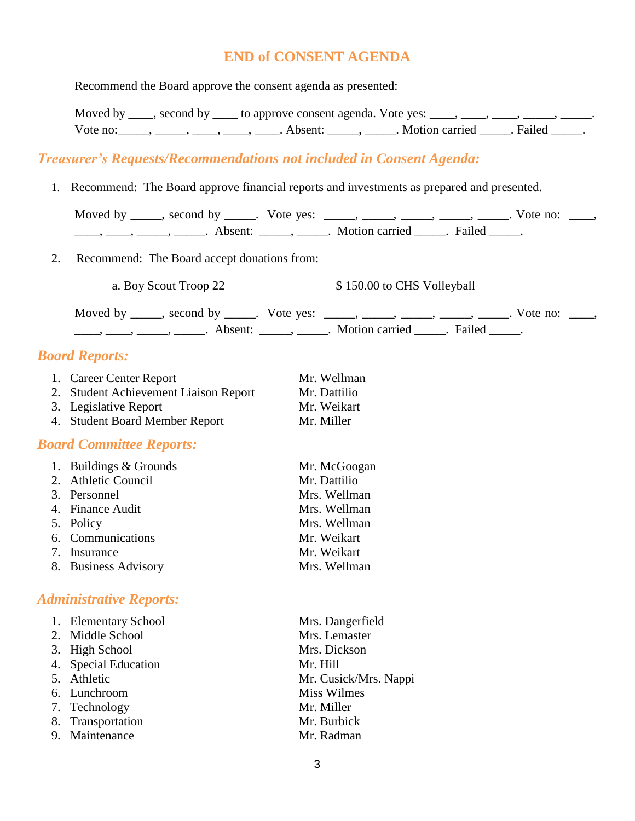#### **END of CONSENT AGENDA**

Recommend the Board approve the consent agenda as presented:

Moved by \_\_\_\_, second by \_\_\_\_ to approve consent agenda. Vote yes: \_\_\_\_, \_\_\_\_, \_\_\_\_, \_\_\_\_, \_\_\_\_\_, Vote no: \_\_\_\_\_, \_\_\_\_, \_\_\_\_, \_\_\_\_, Absent: \_\_\_\_\_, \_\_\_\_\_. Motion carried \_\_\_\_\_. Failed \_\_\_\_\_.

#### *Treasurer's Requests/Recommendations not included in Consent Agenda:*

1. Recommend: The Board approve financial reports and investments as prepared and presented.

| $\frac{1}{1}, \frac{1}{1}, \frac{1}{1}, \frac{1}{1}, \frac{1}{1}, \frac{1}{1}, \frac{1}{1}, \frac{1}{1}, \frac{1}{1}, \frac{1}{1}, \frac{1}{1}, \frac{1}{1}, \frac{1}{1}, \frac{1}{1}, \frac{1}{1}, \frac{1}{1}, \frac{1}{1}, \frac{1}{1}, \frac{1}{1}, \frac{1}{1}, \frac{1}{1}, \frac{1}{1}, \frac{1}{1}, \frac{1}{1}, \frac{1}{1}, \frac{1}{1}, \frac{1}{1}, \frac{1}{1}, \frac{1}{1}, \frac{1}{1}, \frac{1}{1}, \frac{$ | Moved by _____, second by _____. Vote yes: _____, _____, _____, _____, _____. Vote no: ____, |
|-----------------------------------------------------------------------------------------------------------------------------------------------------------------------------------------------------------------------------------------------------------------------------------------------------------------------------------------------------------------------------------------------------------------------------|----------------------------------------------------------------------------------------------|
| 2. Recommend: The Board accept donations from:                                                                                                                                                                                                                                                                                                                                                                              |                                                                                              |
| a. Boy Scout Troop 22                                                                                                                                                                                                                                                                                                                                                                                                       | \$150.00 to CHS Volleyball                                                                   |
| $\frac{1}{1}, \frac{1}{1}, \frac{1}{1}, \frac{1}{1}, \frac{1}{1}, \frac{1}{1}, \frac{1}{1}, \frac{1}{1}, \frac{1}{1}, \frac{1}{1}, \frac{1}{1}, \frac{1}{1}, \frac{1}{1}, \frac{1}{1}, \frac{1}{1}, \frac{1}{1}, \frac{1}{1}, \frac{1}{1}, \frac{1}{1}, \frac{1}{1}, \frac{1}{1}, \frac{1}{1}, \frac{1}{1}, \frac{1}{1}, \frac{1}{1}, \frac{1}{1}, \frac{1}{1}, \frac{1}{1}, \frac{1}{1}, \frac{1}{1}, \frac{1}{1}, \frac{$ | Moved by _____, second by _____. Vote yes: _____, _____, _____, _____, _____. Vote no: ____, |

#### *Board Reports:*

| 1. Career Center Report               | Mr. Wellman  |
|---------------------------------------|--------------|
| 2. Student Achievement Liaison Report | Mr. Dattilio |
| 3. Legislative Report                 | Mr. Weikart  |
| 4. Student Board Member Report        | Mr. Miller   |

#### *Board Committee Reports:*

| 1. Buildings & Grounds | Mr. McGoogan |
|------------------------|--------------|
| 2. Athletic Council    | Mr. Dattilio |
| 3. Personnel           | Mrs. Wellman |
| 4. Finance Audit       | Mrs. Wellman |
| 5. Policy              | Mrs. Wellman |
| 6. Communications      | Mr. Weikart  |
| 7. Insurance           | Mr. Weikart  |
| 8. Business Advisory   | Mrs. Wellman |

#### *Administrative Reports:*

| 1. Elementary School | Mrs. Dangerfield      |
|----------------------|-----------------------|
| 2. Middle School     | Mrs. Lemaster         |
| 3. High School       | Mrs. Dickson          |
| 4. Special Education | Mr. Hill              |
| 5. Athletic          | Mr. Cusick/Mrs. Nappi |
| 6. Lunchroom         | Miss Wilmes           |
| 7. Technology        | Mr. Miller            |
| 8. Transportation    | Mr. Burbick           |
| 9. Maintenance       | Mr. Radman            |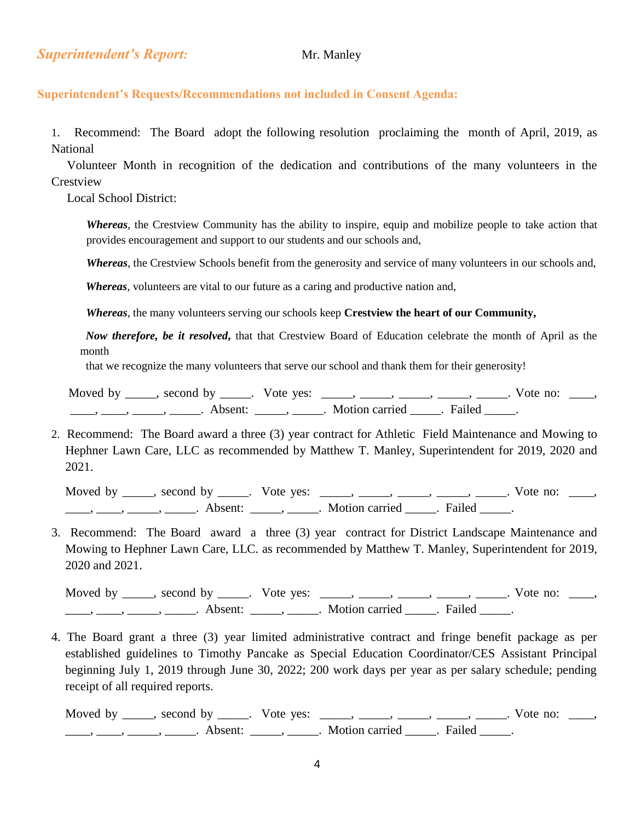#### **Superintendent's Requests/Recommendations not included in Consent Agenda:**

1. Recommend: The Board adopt the following resolution proclaiming the month of April, 2019, as National

 Volunteer Month in recognition of the dedication and contributions of the many volunteers in the Crestview

Local School District:

*Whereas*, the Crestview Community has the ability to inspire, equip and mobilize people to take action that provides encouragement and support to our students and our schools and,

*Whereas*, the Crestview Schools benefit from the generosity and service of many volunteers in our schools and,

*Whereas*, volunteers are vital to our future as a caring and productive nation and,

 *Whereas*, the many volunteers serving our schools keep **Crestview the heart of our Community,**

 *Now therefore, be it resolved***,** that that Crestview Board of Education celebrate the month of April as the month

that we recognize the many volunteers that serve our school and thank them for their generosity!

Moved by \_\_\_\_, second by \_\_\_\_\_. Vote yes: \_\_\_\_\_, \_\_\_\_\_, \_\_\_\_, \_\_\_\_, \_\_\_\_. Vote no: \_\_\_\_, ., \_\_\_\_, \_\_\_\_\_, \_\_\_\_\_\_. Absent: \_\_\_\_\_\_, \_\_\_\_\_\_. Motion carried \_\_\_\_\_. Failed \_\_\_\_\_.

2. Recommend: The Board award a three (3) year contract for Athletic Field Maintenance and Mowing to Hephner Lawn Care, LLC as recommended by Matthew T. Manley, Superintendent for 2019, 2020 and 2021.

Moved by \_\_\_\_, second by \_\_\_\_\_. Vote yes: \_\_\_\_\_, \_\_\_\_\_, \_\_\_\_\_, \_\_\_\_\_, \_\_\_\_. Vote no: \_\_\_\_, ——, ———, ———————. Absent: \_\_\_\_\_\_, \_\_\_\_\_\_. Motion carried \_\_\_\_\_\_. Failed \_\_\_\_\_.

3. Recommend: The Board award a three (3) year contract for District Landscape Maintenance and Mowing to Hephner Lawn Care, LLC. as recommended by Matthew T. Manley, Superintendent for 2019, 2020 and 2021.

Moved by \_\_\_\_\_, second by \_\_\_\_\_. Vote yes: \_\_\_\_\_, \_\_\_\_\_, \_\_\_\_\_, \_\_\_\_\_, \_\_\_\_. Vote no: \_\_\_\_, ——, ——, ——, ———, Absent: \_\_\_\_, \_\_\_\_\_. Motion carried \_\_\_\_\_. Failed \_\_\_\_.

4. The Board grant a three (3) year limited administrative contract and fringe benefit package as per established guidelines to Timothy Pancake as Special Education Coordinator/CES Assistant Principal beginning July 1, 2019 through June 30, 2022; 200 work days per year as per salary schedule; pending receipt of all required reports.

Moved by \_\_\_\_, second by \_\_\_\_\_. Vote yes: \_\_\_\_, \_\_\_\_, \_\_\_\_, \_\_\_\_, \_\_\_\_, Vote no: \_\_\_, ——, ——, ———, ———. Absent: \_\_\_\_\_, \_\_\_\_\_. Motion carried \_\_\_\_\_. Failed \_\_\_\_.